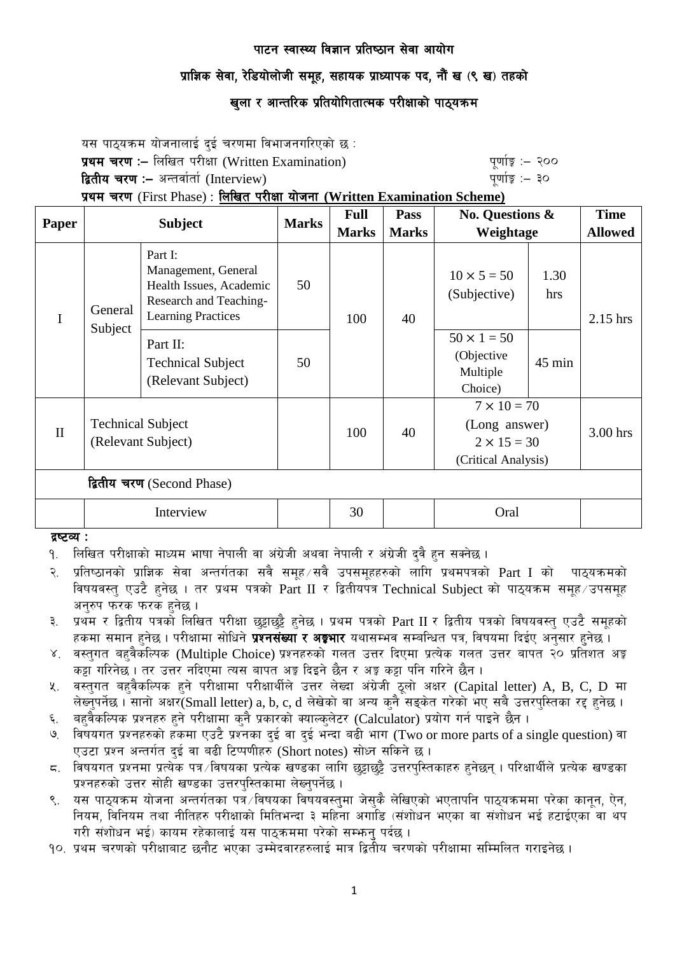## प्राज्ञिक सेवा, रेडियोलोजी समुह, सहायक प्राध्यापक पद, नौं ख (९ ख) तहको

## खुला र आन्तरिक प्रतियोगितात्मक परीक्षाको पाठ्यक्रम

यस पाठयक्रम योजनालाई दई चरणमा विभाजनगरिएको छ : प्रथम चरण :- लिखित परीक्षा (Written Examination) x 200 पूर्णा कू :- २०० द्वितीय चरण :– अन्तर्वार्ता (Interview) katalactic metal metal metal metal wind wind  $q$ र्णाङ्क :– ३०

प्रथम चरण (First Phase) : लिखित परीक्षा योजना (Written Examination Scheme)

|                            | <b>Subject</b>                                 |                                                                                                                  | <b>Marks</b> | <b>Full</b>  | Pass         | <b>No. Questions &amp;</b><br>Weightage                                          |             | <b>Time</b>    |
|----------------------------|------------------------------------------------|------------------------------------------------------------------------------------------------------------------|--------------|--------------|--------------|----------------------------------------------------------------------------------|-------------|----------------|
| <b>Paper</b>               |                                                |                                                                                                                  |              | <b>Marks</b> | <b>Marks</b> |                                                                                  |             | <b>Allowed</b> |
| I                          | General<br>Subject                             | Part I:<br>Management, General<br>Health Issues, Academic<br>Research and Teaching-<br><b>Learning Practices</b> | 50           | 100<br>50    | 40           | $10 \times 5 = 50$<br>(Subjective)                                               | 1.30<br>hrs | 2.15 hrs       |
|                            |                                                | Part II:<br><b>Technical Subject</b><br>(Relevant Subject)                                                       |              |              |              | $50 \times 1 = 50$<br>(Objective<br>Multiple<br>Choice)                          | $45$ min    |                |
| $\mathbf{I}$               | <b>Technical Subject</b><br>(Relevant Subject) |                                                                                                                  |              | 100          | 40           | $7 \times 10 = 70$<br>(Long answer)<br>$2 \times 15 = 30$<br>(Critical Analysis) |             | 3.00 hrs       |
| द्वितीय चरण (Second Phase) |                                                |                                                                                                                  |              |              |              |                                                                                  |             |                |
|                            | Interview                                      |                                                                                                                  |              | 30           |              | Oral                                                                             |             |                |

#### द्रष्टव्य :

- <u>9. लिखित परीक्षाको माध्यम भाषा नेपाली वा अंग्रेजी अथवा नेपाली र अंग्रेजी दुवै हुन सक्नेछ ।</u>
- २. प्रतिष्ठानको प्राज्ञिक सेवा अन्तर्गतका सवै समूह सवै उपसमूहहरुको लागि प्रथमपत्रको Part I को पाठ्यक्रमको विषयवस्तु एउटै हुनेछ । तर प्रथम पत्रको Part II र द्वितीयपत्र Technical Subject को पाठ्यक्रम समुह उपसमुह अनुरुप फरक फरक हुनेछ ।
- ३. प्रथम र द्वितीय पत्रको लिखित परीक्षा छट्टाछट्टै हनेछ । प्रथम पत्रको Part II र द्वितीय पत्रको विषयवस्त् एउटै समूहको हकमा समान हुनेछ । परीक्षामा सोधिने **प्रश्नसंख्या र अङ्गभार** यथासम्भव सम्बन्धित पत्र, विषयमा दिईए अनुसार हुनेछ ।
- ४. वस्तुगत बहुवैकस्पिक (Multiple Choice) प्रश्नहरुको गलत उत्तर दिएमा प्रत्येक गलत उत्तर बापत २० प्रतिशत अङ्क कट्टा गरिनेछ । तर उत्तर नदिएमा त्यस बापत अङ्ग दिइने छैन र अङ्ग कट्टा पनि गरिने छैन ।
- $\,$ ४. वस्तुगत बहुवैकल्पिक हुने परीक्षामा परीक्षार्थीले उत्तर लेख्दा अंग्रेजी ठुलो अक्षर (Capital letter) A, B, C, D मा लेख्नपर्नेछ । सानो अक्षर $\widetilde{\mathsf{S}}$ mall letter) a, b, c, d लेखेको वा अन्य कनै सडकेत गरेको भए सबै उत्तरपस्तिका रद्द हनेछ ।
- ६. वहवैकल्पिक प्रश्नहरु हुने परीक्षामा कुनै प्रकारको क्याल्कुलेटर (Calculator) प्रयोग गर्न पाइने छैन ।
- ७. विषयगत प्रश्नहरुको हकमा एउटै प्रश्नका दुई वा दुई भन्दा बढी भाग (Two or more parts of a single question) वा एउटा प्रश्न अन्तर्गत दई वा बढी टिप्पणीहरु (Short notes) सोध्न सकिने छ।
- द. विषयगत प्रश्नमा प्रत्येक पत्र ∕विषयका प्रत्येक खण्डका लागि छुट्टाछुट्टै उत्तरपस्तिकाहरु हनेछन् । परिक्षार्थीले प्रत्येक खण्डका प्रश्नहरुको उत्तर सोही खण्डका उत्तरपस्तिकामा लेख्नुपर्नेछ ।
- ९. यस पाठयक्रम योजना अन्तर्गतका पत्रं /विषयका विषयवस्तुमा जेसकै लेखिएको भएतापनि पाठयक्रममा परेका कानुन, ऐन, नियम, विनियम तथा नीतिहरु परीक्षाको मितिभन्दा ३ महिना अगाडि (संशोधन भएका वा संशोधन भई हटाईएका वा थप गरी संशोधन भई) कायम रहेकालाई यस पाठकममा परेको सम्भन पर्दछ ।
- <u>90. प्रथम चरणको परीक्षाबाट छनौट भएका उम्मेदवारहरुलाई मात्र द्वितीय चरणको परीक्षामा सम्मिलित गराइनेछ ।</u>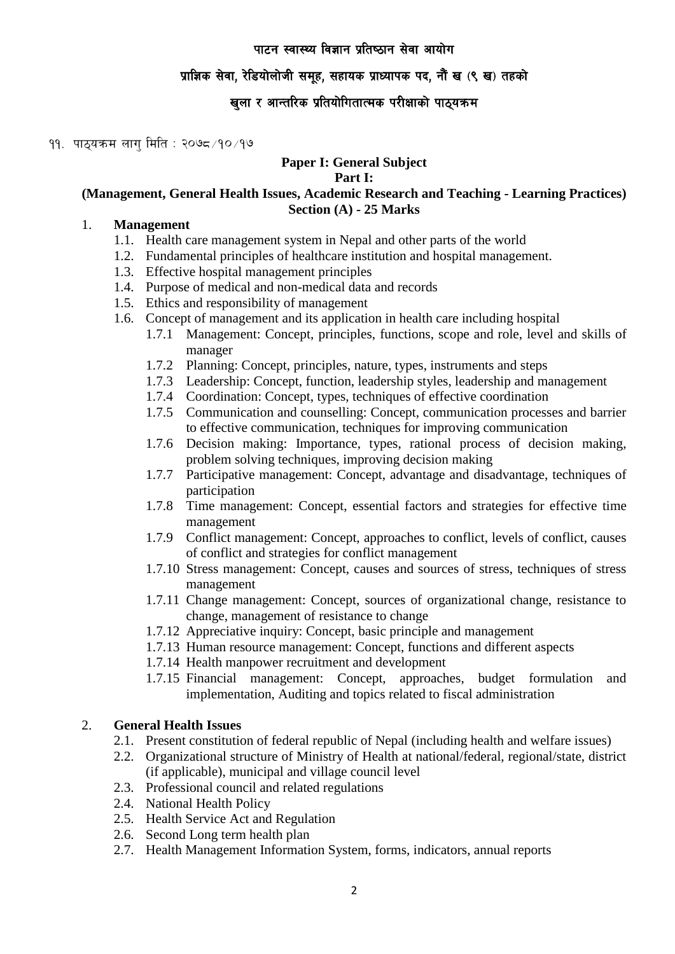# प्राज्ञिक सेवा, रेडियोलोजी समूह, सहायक प्राध्यापक पद, नौं ख (९ ख) तहको

# खुला र आन्तरिक प्रतियोगितात्मक परीक्षाको पाठ्यक्रम

### $99.$  पाठयक्रम लाग मिति : २०७८/१०/१७

# **Paper I: General Subject**

#### **Part I:**

### **(Management, General Health Issues, Academic Research and Teaching - Learning Practices) Section (A) - 25 Marks**

### 1. **Management**

- 1.1. Health care management system in Nepal and other parts of the world
- 1.2. Fundamental principles of healthcare institution and hospital management.
- 1.3. Effective hospital management principles
- 1.4. Purpose of medical and non-medical data and records
- 1.5. Ethics and responsibility of management
- 1.6. Concept of management and its application in health care including hospital
	- 1.7.1 Management: Concept, principles, functions, scope and role, level and skills of manager
	- 1.7.2 Planning: Concept, principles, nature, types, instruments and steps
	- 1.7.3 Leadership: Concept, function, leadership styles, leadership and management
	- 1.7.4 Coordination: Concept, types, techniques of effective coordination
	- 1.7.5 Communication and counselling: Concept, communication processes and barrier to effective communication, techniques for improving communication
	- 1.7.6 Decision making: Importance, types, rational process of decision making, problem solving techniques, improving decision making
	- 1.7.7 Participative management: Concept, advantage and disadvantage, techniques of participation
	- 1.7.8 Time management: Concept, essential factors and strategies for effective time management
	- 1.7.9 Conflict management: Concept, approaches to conflict, levels of conflict, causes of conflict and strategies for conflict management
	- 1.7.10 Stress management: Concept, causes and sources of stress, techniques of stress management
	- 1.7.11 Change management: Concept, sources of organizational change, resistance to change, management of resistance to change
	- 1.7.12 Appreciative inquiry: Concept, basic principle and management
	- 1.7.13 Human resource management: Concept, functions and different aspects
	- 1.7.14 Health manpower recruitment and development
	- 1.7.15 Financial management: Concept, approaches, budget formulation and implementation, Auditing and topics related to fiscal administration

## 2. **General Health Issues**

- 2.1. Present constitution of federal republic of Nepal (including health and welfare issues)
- 2.2. Organizational structure of Ministry of Health at national/federal, regional/state, district (if applicable), municipal and village council level
- 2.3. Professional council and related regulations
- 2.4. National Health Policy
- 2.5. Health Service Act and Regulation
- 2.6. Second Long term health plan
- 2.7. Health Management Information System, forms, indicators, annual reports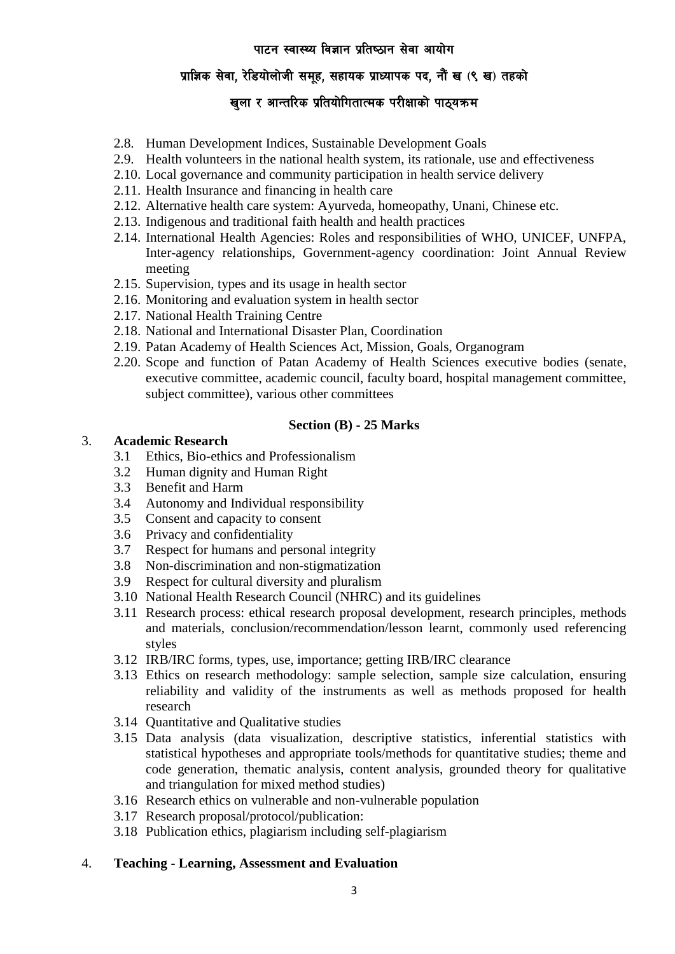# **प्राज्ञिक सेवा, रेडियोलोजी समूह, सहायक प्राध्यापक पद, नौं ख (९ ख) तहको**

# खुला र आन्तरिक प्रतियोगितात्मक परीक्षाको पाठ्यक्रम

- 2.8. Human Development Indices, Sustainable Development Goals
- 2.9. Health volunteers in the national health system, its rationale, use and effectiveness
- 2.10. Local governance and community participation in health service delivery
- 2.11. Health Insurance and financing in health care
- 2.12. Alternative health care system: Ayurveda, homeopathy, Unani, Chinese etc.
- 2.13. Indigenous and traditional faith health and health practices
- 2.14. International Health Agencies: Roles and responsibilities of WHO, UNICEF, UNFPA, Inter-agency relationships, Government-agency coordination: Joint Annual Review meeting
- 2.15. Supervision, types and its usage in health sector
- 2.16. Monitoring and evaluation system in health sector
- 2.17. National Health Training Centre
- 2.18. National and International Disaster Plan, Coordination
- 2.19. Patan Academy of Health Sciences Act, Mission, Goals, Organogram
- 2.20. Scope and function of Patan Academy of Health Sciences executive bodies (senate, executive committee, academic council, faculty board, hospital management committee, subject committee), various other committees

### **Section (B) - 25 Marks**

## 3. **Academic Research**

- 3.1 Ethics, Bio-ethics and Professionalism
- 3.2 Human dignity and Human Right
- 3.3 Benefit and Harm
- 3.4 Autonomy and Individual responsibility
- 3.5 Consent and capacity to consent
- 3.6 Privacy and confidentiality
- 3.7 Respect for humans and personal integrity
- 3.8 Non-discrimination and non-stigmatization
- 3.9 Respect for cultural diversity and pluralism
- 3.10 National Health Research Council (NHRC) and its guidelines
- 3.11 Research process: ethical research proposal development, research principles, methods and materials, conclusion/recommendation/lesson learnt, commonly used referencing styles
- 3.12 IRB/IRC forms, types, use, importance; getting IRB/IRC clearance
- 3.13 Ethics on research methodology: sample selection, sample size calculation, ensuring reliability and validity of the instruments as well as methods proposed for health research
- 3.14 Quantitative and Qualitative studies
- 3.15 Data analysis (data visualization, descriptive statistics, inferential statistics with statistical hypotheses and appropriate tools/methods for quantitative studies; theme and code generation, thematic analysis, content analysis, grounded theory for qualitative and triangulation for mixed method studies)
- 3.16 Research ethics on vulnerable and non-vulnerable population
- 3.17 Research proposal/protocol/publication:
- 3.18 Publication ethics, plagiarism including self-plagiarism
- 4. **Teaching - Learning, Assessment and Evaluation**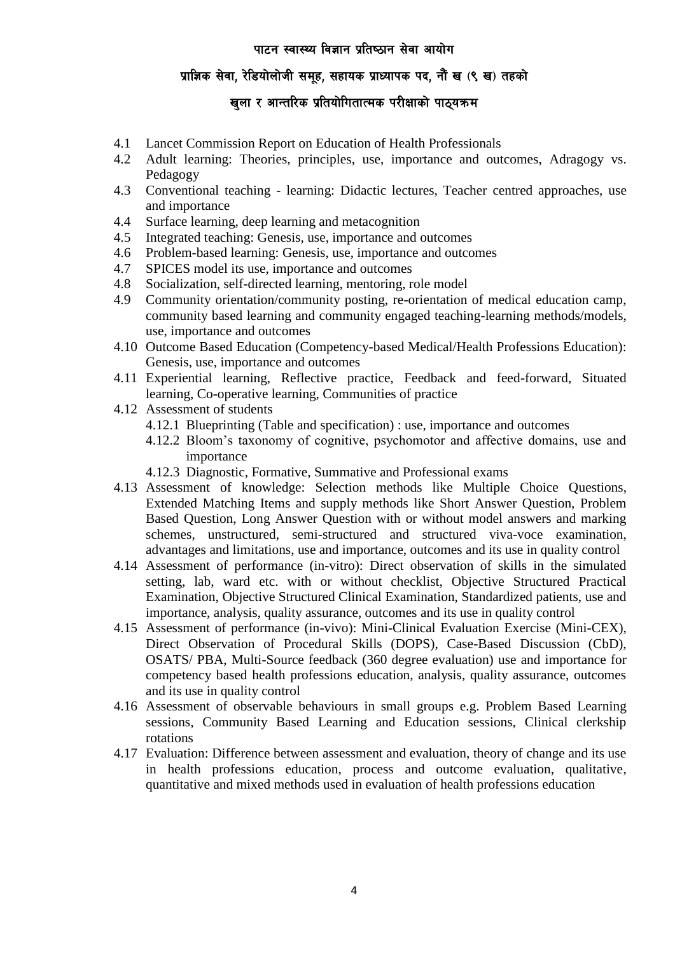# <u>प्रा</u>ज्ञिक सेवा, रेडियोलोजी समूह, सहायक प्राध्यापक पद, नौं ख (९ ख) तहको

# खुला र आन्तरिक प्रतियोगितात्मक परीक्षाको पाठ्यक्रम

- 4.1 Lancet Commission Report on Education of Health Professionals
- 4.2 Adult learning: Theories, principles, use, importance and outcomes, Adragogy vs. Pedagogy
- 4.3 Conventional teaching learning: Didactic lectures, Teacher centred approaches, use and importance
- 4.4 Surface learning, deep learning and metacognition
- 4.5 Integrated teaching: Genesis, use, importance and outcomes
- 4.6 Problem-based learning: Genesis, use, importance and outcomes
- 4.7 SPICES model its use, importance and outcomes
- 4.8 Socialization, self-directed learning, mentoring, role model
- 4.9 Community orientation/community posting, re-orientation of medical education camp, community based learning and community engaged teaching-learning methods/models, use, importance and outcomes
- 4.10 Outcome Based Education (Competency-based Medical/Health Professions Education): Genesis, use, importance and outcomes
- 4.11 Experiential learning, Reflective practice, Feedback and feed-forward, Situated learning, Co-operative learning, Communities of practice
- 4.12 Assessment of students
	- 4.12.1 Blueprinting (Table and specification) : use, importance and outcomes
	- 4.12.2 Bloom's taxonomy of cognitive, psychomotor and affective domains, use and importance
	- 4.12.3 Diagnostic, Formative, Summative and Professional exams
- 4.13 Assessment of knowledge: Selection methods like Multiple Choice Questions, Extended Matching Items and supply methods like Short Answer Question, Problem Based Question, Long Answer Question with or without model answers and marking schemes, unstructured, semi-structured and structured viva-voce examination, advantages and limitations, use and importance, outcomes and its use in quality control
- 4.14 Assessment of performance (in-vitro): Direct observation of skills in the simulated setting, lab, ward etc. with or without checklist, Objective Structured Practical Examination, Objective Structured Clinical Examination, Standardized patients, use and importance, analysis, quality assurance, outcomes and its use in quality control
- 4.15 Assessment of performance (in-vivo): Mini-Clinical Evaluation Exercise (Mini-CEX), Direct Observation of Procedural Skills (DOPS), Case-Based Discussion (CbD), OSATS/ PBA, Multi-Source feedback (360 degree evaluation) use and importance for competency based health professions education, analysis, quality assurance, outcomes and its use in quality control
- 4.16 Assessment of observable behaviours in small groups e.g. Problem Based Learning sessions, Community Based Learning and Education sessions, Clinical clerkship rotations
- 4.17 Evaluation: Difference between assessment and evaluation, theory of change and its use in health professions education, process and outcome evaluation, qualitative, quantitative and mixed methods used in evaluation of health professions education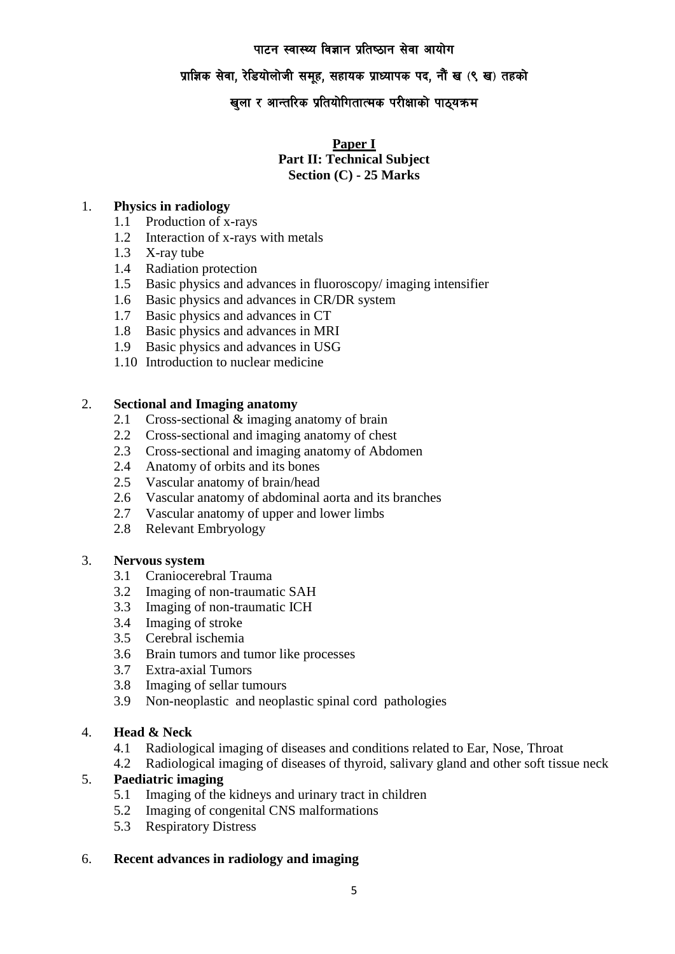## **प्राज्ञिक सेवा, रेडियोलोजी समूह, सहायक प्राध्यापक पद, नौं ख (९ ख) तहको**

# खुला र आन्तरिक प्रतियोगितात्मक परीक्षाको पाठ्यक्रम

### **Paper I Part II: Technical Subject Section (C) - 25 Marks**

## 1. **Physics in radiology**

- 1.1 Production of x-rays
- 1.2 Interaction of x-rays with metals
- 1.3 X-ray tube
- 1.4 Radiation protection
- 1.5 Basic physics and advances in fluoroscopy/ imaging intensifier
- 1.6 Basic physics and advances in CR/DR system
- 1.7 Basic physics and advances in CT
- 1.8 Basic physics and advances in MRI
- 1.9 Basic physics and advances in USG
- 1.10 Introduction to nuclear medicine

### 2. **Sectional and Imaging anatomy**

- 2.1 Cross-sectional & imaging anatomy of brain
- 2.2 Cross-sectional and imaging anatomy of chest
- 2.3 Cross-sectional and imaging anatomy of Abdomen
- 2.4 Anatomy of orbits and its bones
- 2.5 Vascular anatomy of brain/head
- 2.6 Vascular anatomy of abdominal aorta and its branches
- 2.7 Vascular anatomy of upper and lower limbs
- 2.8 Relevant Embryology

### 3. **Nervous system**

- 3.1 Craniocerebral Trauma
- 3.2 Imaging of non-traumatic SAH
- 3.3 Imaging of non-traumatic ICH
- 3.4 Imaging of stroke
- 3.5 Cerebral ischemia
- 3.6 Brain tumors and tumor like processes
- 3.7 Extra-axial Tumors
- 3.8 Imaging of sellar tumours
- 3.9 Non-neoplastic and neoplastic spinal cord pathologies

## 4. **Head & Neck**

- 4.1 Radiological imaging of diseases and conditions related to Ear, Nose, Throat
- 4.2 Radiological imaging of diseases of thyroid, salivary gland and other soft tissue neck

## 5. **Paediatric imaging**

- 5.1 Imaging of the kidneys and urinary tract in children
- 5.2 Imaging of congenital CNS malformations
- 5.3 Respiratory Distress

## 6. **Recent advances in radiology and imaging**